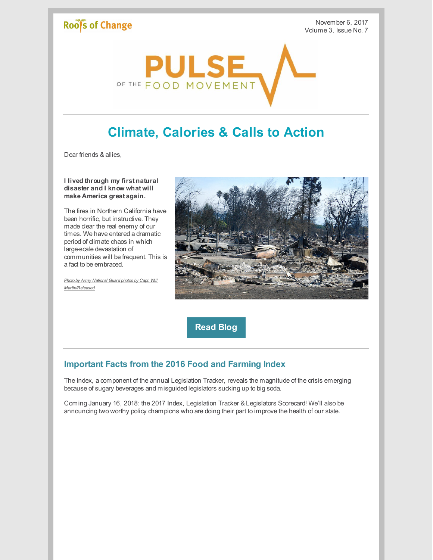# Roof's of Change

November 6, 2017 Volume 3, Issue No. 7



# **Climate, Calories & Calls to Action**

Dear friends & allies,

**I lived through my first natural disaster and I know what will make America great again.**

The fires in Northern California have been horrific, but instructive. They made clear the real enemy of our times. We have entered a dramatic period of climate chaos in which large-scale devastation of communities will be frequent. This is a fact to be embraced.

*Photo by Army National Guard photos by Capt. Will [Martin/Released](https://www.flickr.com/photos/caguard/36992573614/in/photolist-YmUBkm-smLpo3-YjQfjJ-Ci75Zf-aoo2yd-bcsXLc-Z1rW5N-Z1s3b5-ZwH4dY-Zmn4jE-oX6QQs-ozHTtm-ZphKCB-okfKs3-okfKMm-ZjVxUN-6Vc8zL-ZrFFzt-ZpS2tE-o5ekmM-Z1s1xf-YjuoDE-ocaD9g-YYVzuf-okga1U-YnYbQz-okgBzz-oBx5Zf-oBHQry-a98yKk-dzcpS3-bW1k2A-ozHU8h-okgzmB-oDvufV-ozHUhL-oBKCVg-okg4TF-ozHUiC-ozHUdh-okgbNb-oBHQMd-ZHrtJX-Z1s6BU-oBHQxq-ZjFBAY-YZ7qZC-okg3kF-oBHQuu-ozHU25)*



**[Read](http://www.rootsofchange.org/blog/i-have-lived-through-my-first-natural-disaster/) Blog**

## **Important Facts from the 2016 Food and Farming Index**

The Index, a component of the annual Legislation Tracker, reveals the magnitude of the crisis emerging because of sugary beverages and misguided legislators sucking up to big soda.

Coming January 16, 2018: the 2017 Index, Legislation Tracker & Legislators Scorecard! We'll also be announcing two worthy policy champions who are doing their part to improve the health of our state.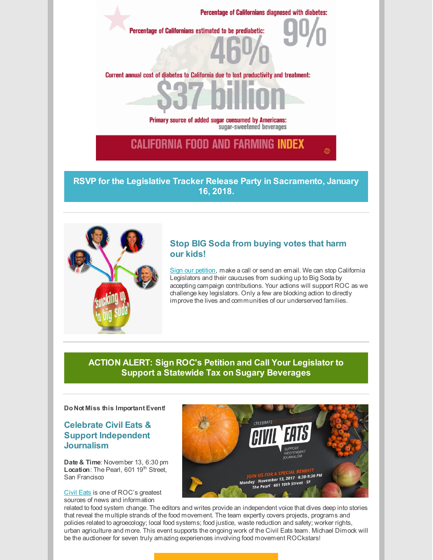

**RSVP for the Legislative Tracker Release Party in [Sacramento,](https://www.eventbrite.com/e/2017-legislative-tracker-release-party-tickets-38416857856) January 16, 2018.**



#### **Stop BIG Soda from buying votes that harm our kids!**

Sign our [petition](http://www.rootsofchange.org/get-involved/take-action/), make a call or send an email. We can stop California Legislators and their caucuses from sucking up to Big Soda by accepting campaign contributions. Your actions will support ROC as we challenge key legislators. Only a few are blocking action to directly improve the lives and communities of our underserved families.

#### **ACTION ALERT: Sign ROC's Petition and Call Your Legislator to Support a Statewide Tax on Sugary [Beverages](http://www.rootsofchange.org/get-involved/take-action/)**

**Do Not Miss this Important Event!**

#### **Celebrate Civil Eats & Support Independent Journalism**

**Date & Time**: November 13, 6:30 pm Location: The Pearl, 601 19<sup>th</sup> Street, San Francisco

[Civil](https://civileats.com/) Eats is one of ROC's greatest sources of news and information



related to food system change. The editors and writes provide an independent voice that dives deep into stories that reveal the multiple strands of the food movement. The team expertly covers projects, programs and policies related to agroecology; local food systems; food justice, waste reduction and safety; worker rights, urban agriculture and more. This event supports the ongoing work of the Civil Eats team. Michael Dimock will be the auctioneer for seven truly amazing experiences involving food movement ROCkstars!